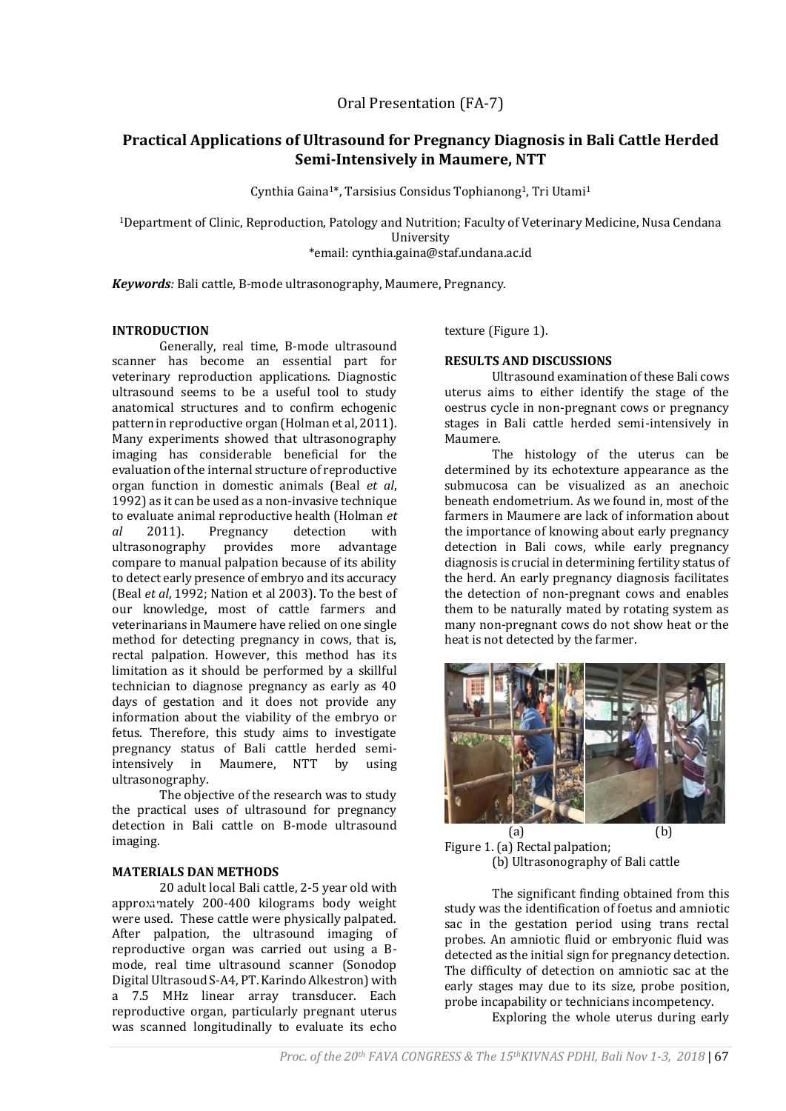# **Practical Applications of Ultrasound for Pregnancy Diagnosis in Bali Cattle Herded Semi-Intensively in Maumere, NTT**

Cynthia Gaina1\*, Tarsisius Considus Tophianong1, Tri Utami<sup>1</sup>

<sup>1</sup>Department of Clinic, Reproduction, Patology and Nutrition; Faculty of Veterinary Medicine, Nusa Cendana University \*email: cynthia.gaina@staf.undana.ac.id

*Keywords:* Bali cattle, B-mode ultrasonography, Maumere, Pregnancy.

# **INTRODUCTION**

Generally, real time, B-mode ultrasound scanner has become an essential part for veterinary reproduction applications. Diagnostic ultrasound seems to be a useful tool to study anatomical structures and to confirm echogenic pattern in reproductive organ (Holman et al, 2011). Many experiments showed that ultrasonography imaging has considerable beneficial for the evaluation of the internal structure of reproductive organ function in domestic animals (Beal *et al*, 1992) as it can be used as a non-invasive technique to evaluate animal reproductive health (Holman *et al* 2011). Pregnancy detection with ultrasonography provides more advantage compare to manual palpation because of its ability to detect early presence of embryo and its accuracy (Beal *et al*, 1992; Nation et al 2003). To the best of our knowledge, most of cattle farmers and veterinarians in Maumere have relied on one single method for detecting pregnancy in cows, that is, rectal palpation. However, this method has its limitation as it should be performed by a skillful technician to diagnose pregnancy as early as 40 days of gestation and it does not provide any information about the viability of the embryo or fetus. Therefore, this study aims to investigate pregnancy status of Bali cattle herded semiintensively in Maumere, NTT by using ultrasonography.

The objective of the research was to study the practical uses of ultrasound for pregnancy detection in Bali cattle on B-mode ultrasound imaging.

## **MATERIALS DAN METHODS**

20 adult local Bali cattle, 2-5 year old with approx.mately 200-400 kilograms body weight were used. These cattle were physically palpated. After palpation, the ultrasound imaging of reproductive organ was carried out using a Bmode, real time ultrasound scanner (Sonodop Digital Ultrasoud S-A4, PT. Karindo Alkestron) with a 7.5 MHz linear array transducer. Each reproductive organ, particularly pregnant uterus was scanned longitudinally to evaluate its echo

texture (Figure 1).

## **RESULTS AND DISCUSSIONS**

Ultrasound examination of these Bali cows uterus aims to either identify the stage of the oestrus cycle in non-pregnant cows or pregnancy stages in Bali cattle herded semi-intensively in Maumere.

The histology of the uterus can be determined by its echotexture appearance as the submucosa can be visualized as an anechoic beneath endometrium. As we found in, most of the farmers in Maumere are lack of information about the importance of knowing about early pregnancy detection in Bali cows, while early pregnancy diagnosis is crucial in determining fertility status of the herd. An early pregnancy diagnosis facilitates the detection of non-pregnant cows and enables them to be naturally mated by rotating system as many non-pregnant cows do not show heat or the heat is not detected by the farmer.



 $(a)$  (b) Figure 1. (a) Rectal palpation; (b) Ultrasonography of Bali cattle

The significant finding obtained from this study was the identification of foetus and amniotic sac in the gestation period using trans rectal probes. An amniotic fluid or embryonic fluid was detected as the initial sign for pregnancy detection. The difficulty of detection on amniotic sac at the early stages may due to its size, probe position, probe incapability or technicians incompetency.

Exploring the whole uterus during early